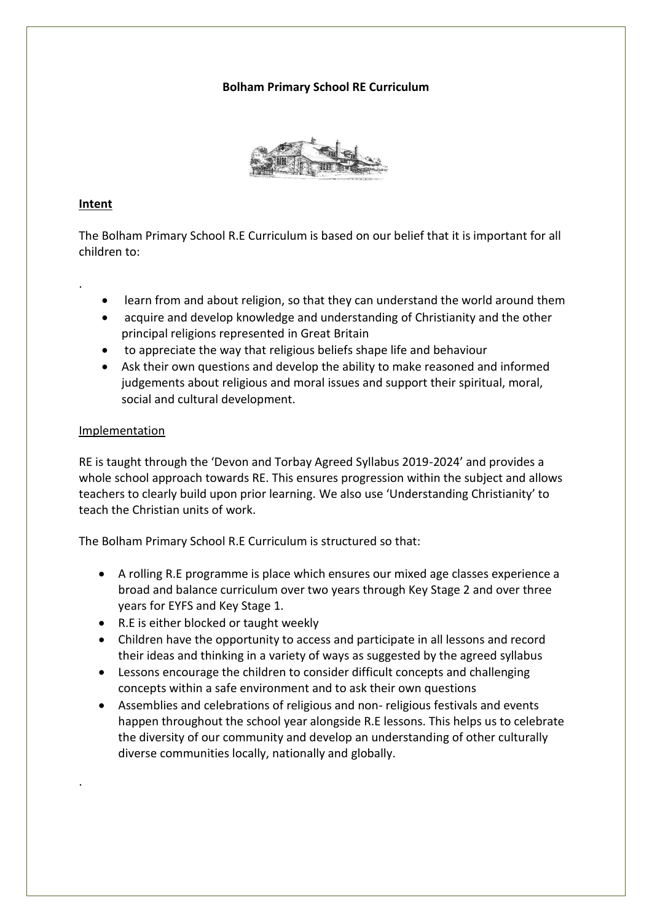## **Bolham Primary School RE Curriculum**



## **Intent**

.

·

The Bolham Primary School R.E Curriculum is based on our belief that it is important for all children to:

- learn from and about religion, so that they can understand the world around them
- acquire and develop knowledge and understanding of Christianity and the other principal religions represented in Great Britain
- to appreciate the way that religious beliefs shape life and behaviour
- Ask their own questions and develop the ability to make reasoned and informed judgements about religious and moral issues and support their spiritual, moral, social and cultural development.

## Implementation

RE is taught through the 'Devon and Torbay Agreed Syllabus 2019-2024' and provides a whole school approach towards RE. This ensures progression within the subject and allows teachers to clearly build upon prior learning. We also use 'Understanding Christianity' to teach the Christian units of work.

The Bolham Primary School R.E Curriculum is structured so that:

- A rolling R.E programme is place which ensures our mixed age classes experience a broad and balance curriculum over two years through Key Stage 2 and over three years for EYFS and Key Stage 1.
- R.E is either blocked or taught weekly
- Children have the opportunity to access and participate in all lessons and record their ideas and thinking in a variety of ways as suggested by the agreed syllabus
- Lessons encourage the children to consider difficult concepts and challenging concepts within a safe environment and to ask their own questions
- Assemblies and celebrations of religious and non- religious festivals and events happen throughout the school year alongside R.E lessons. This helps us to celebrate the diversity of our community and develop an understanding of other culturally diverse communities locally, nationally and globally.